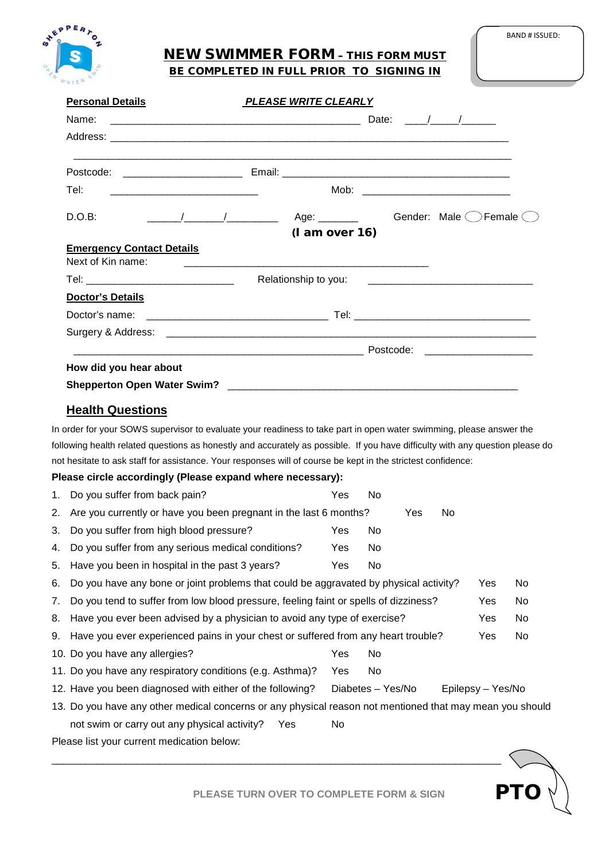

# NEW SWIMMER FORM – THIS FORM MUST BE COMPLETED IN FULL PRIOR TO SIGNING IN

PTO

| <b>Personal Details</b>          | <b>PLEASE WRITE CLEARLY</b> |                         |
|----------------------------------|-----------------------------|-------------------------|
|                                  |                             | Date: $/$ /             |
|                                  |                             |                         |
|                                  |                             |                         |
| Tel:                             | Mob:                        |                         |
| D.O.B:                           | (lam over 16)               | Gender: Male ( ) Female |
| <b>Emergency Contact Details</b> |                             |                         |
| Next of Kin name:                |                             |                         |
|                                  |                             |                         |
| Doctor's Details                 |                             |                         |
|                                  |                             |                         |
|                                  |                             |                         |
|                                  |                             |                         |
| How did you hear about           |                             |                         |
|                                  |                             |                         |

## **Health Questions**

In order for your SOWS supervisor to evaluate your readiness to take part in open water swimming, please answer the following health related questions as honestly and accurately as possible. If you have difficulty with any question please do not hesitate to ask staff for assistance. Your responses will of course be kept in the strictest confidence:

#### **Please circle accordingly (Please expand where necessary):**

| 1.                                                                                                       | Do you suffer from back pain?                                                         | Yes        | No.               |  |                   |     |     |
|----------------------------------------------------------------------------------------------------------|---------------------------------------------------------------------------------------|------------|-------------------|--|-------------------|-----|-----|
| 2.                                                                                                       | Are you currently or have you been pregnant in the last 6 months?<br>Yes<br>No.       |            |                   |  |                   |     |     |
| 3.                                                                                                       | Do you suffer from high blood pressure?                                               | Yes        | No.               |  |                   |     |     |
| 4.                                                                                                       | Do you suffer from any serious medical conditions?                                    | Yes.       | No.               |  |                   |     |     |
| 5.                                                                                                       | Have you been in hospital in the past 3 years?                                        | Yes        | No                |  |                   |     |     |
| 6.                                                                                                       | Do you have any bone or joint problems that could be aggravated by physical activity? |            |                   |  |                   | Yes | No. |
| 7.                                                                                                       | Do you tend to suffer from low blood pressure, feeling faint or spells of dizziness?  |            |                   |  |                   | Yes | No  |
| 8.                                                                                                       | Have you ever been advised by a physician to avoid any type of exercise?              |            |                   |  |                   | Yes | No  |
|                                                                                                          | 9. Have you ever experienced pains in your chest or suffered from any heart trouble?  |            |                   |  |                   | Yes | No  |
|                                                                                                          | 10. Do you have any allergies?                                                        | Yes        | No                |  |                   |     |     |
|                                                                                                          | 11. Do you have any respiratory conditions (e.g. Asthma)?                             | <b>Yes</b> | No                |  |                   |     |     |
|                                                                                                          | 12. Have you been diagnosed with either of the following?                             |            | Diabetes - Yes/No |  | Epilepsy – Yes/No |     |     |
| 13. Do you have any other medical concerns or any physical reason not mentioned that may mean you should |                                                                                       |            |                   |  |                   |     |     |
|                                                                                                          | not swim or carry out any physical activity?<br>Yes                                   | No         |                   |  |                   |     |     |
|                                                                                                          | Please list your current medication below:                                            |            |                   |  |                   |     |     |

\_\_\_\_\_\_\_\_\_\_\_\_\_\_\_\_\_\_\_\_\_\_\_\_\_\_\_\_\_\_\_\_\_\_\_\_\_\_\_\_\_\_\_\_\_\_\_\_\_\_\_\_\_\_\_\_\_\_\_\_\_\_\_\_\_\_\_\_\_\_\_\_\_\_\_\_\_\_\_